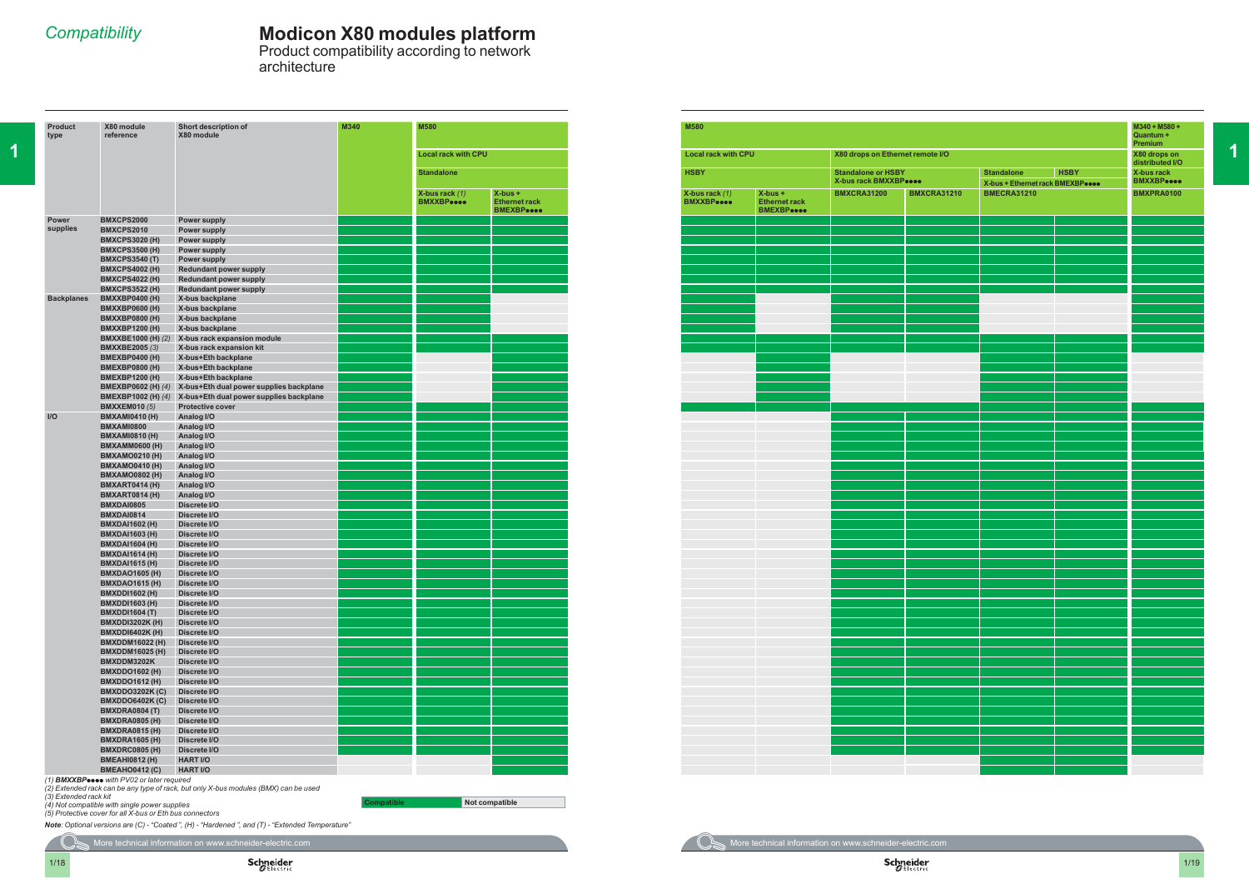**1**

## *Compatibility* **Modicon X80 modules platform**

Product compatibility according to network architecture

|  | <b>M580</b>                                     |                                                         |  | <b>M580</b>                                                                                                                                                                                                                          |                                                        |                                                    |                    |                                                                      |  |                                                    |
|--|-------------------------------------------------|---------------------------------------------------------|--|--------------------------------------------------------------------------------------------------------------------------------------------------------------------------------------------------------------------------------------|--------------------------------------------------------|----------------------------------------------------|--------------------|----------------------------------------------------------------------|--|----------------------------------------------------|
|  | <b>Local rack with CPU</b><br><b>Standalone</b> |                                                         |  | <b>Local rack with CPU</b><br>X80 drops on Ethernet remote I/O                                                                                                                                                                       |                                                        |                                                    |                    |                                                                      |  |                                                    |
|  |                                                 |                                                         |  | <b>HSBY</b>                                                                                                                                                                                                                          |                                                        | <b>Standalone or HSBY</b><br>X-bus rack BMXXBPeese |                    | <b>HSBY</b><br><b>Standalone</b><br>X-bus + Ethernet rack BMEXBPeese |  | distributed I/C<br>X-bus rack<br><b>BMXXBPeece</b> |
|  | X-bus rack $(1)$<br><b>BMXXBPeece</b>           | $X-bus +$<br><b>Ethernet rack</b><br><b>BMEXBP</b> eeee |  | X-bus rack $(1)$<br><b>BMXXBPeece</b>                                                                                                                                                                                                | $X-bus +$<br><b>Ethernet rack</b><br><b>BMEXBPeece</b> | <b>BMXCRA31200</b>                                 | <b>BMXCRA31210</b> | <b>BMECRA31210</b>                                                   |  |                                                    |
|  |                                                 |                                                         |  |                                                                                                                                                                                                                                      |                                                        |                                                    |                    |                                                                      |  |                                                    |
|  |                                                 |                                                         |  |                                                                                                                                                                                                                                      |                                                        |                                                    |                    |                                                                      |  |                                                    |
|  |                                                 |                                                         |  |                                                                                                                                                                                                                                      |                                                        |                                                    |                    |                                                                      |  |                                                    |
|  |                                                 |                                                         |  |                                                                                                                                                                                                                                      |                                                        |                                                    |                    |                                                                      |  |                                                    |
|  |                                                 |                                                         |  |                                                                                                                                                                                                                                      |                                                        |                                                    |                    |                                                                      |  |                                                    |
|  |                                                 |                                                         |  |                                                                                                                                                                                                                                      |                                                        |                                                    |                    |                                                                      |  |                                                    |
|  |                                                 |                                                         |  |                                                                                                                                                                                                                                      |                                                        |                                                    |                    |                                                                      |  |                                                    |
|  |                                                 |                                                         |  |                                                                                                                                                                                                                                      |                                                        |                                                    |                    |                                                                      |  |                                                    |
|  |                                                 |                                                         |  |                                                                                                                                                                                                                                      |                                                        |                                                    |                    |                                                                      |  |                                                    |
|  |                                                 |                                                         |  |                                                                                                                                                                                                                                      |                                                        |                                                    |                    |                                                                      |  |                                                    |
|  |                                                 |                                                         |  |                                                                                                                                                                                                                                      |                                                        |                                                    |                    |                                                                      |  |                                                    |
|  |                                                 |                                                         |  |                                                                                                                                                                                                                                      |                                                        |                                                    |                    |                                                                      |  |                                                    |
|  |                                                 |                                                         |  |                                                                                                                                                                                                                                      |                                                        |                                                    |                    |                                                                      |  |                                                    |
|  |                                                 |                                                         |  |                                                                                                                                                                                                                                      |                                                        |                                                    |                    |                                                                      |  |                                                    |
|  |                                                 |                                                         |  |                                                                                                                                                                                                                                      |                                                        |                                                    |                    |                                                                      |  |                                                    |
|  |                                                 |                                                         |  |                                                                                                                                                                                                                                      |                                                        |                                                    |                    |                                                                      |  |                                                    |
|  |                                                 |                                                         |  |                                                                                                                                                                                                                                      |                                                        |                                                    |                    |                                                                      |  |                                                    |
|  |                                                 |                                                         |  |                                                                                                                                                                                                                                      |                                                        |                                                    |                    |                                                                      |  |                                                    |
|  |                                                 |                                                         |  |                                                                                                                                                                                                                                      |                                                        |                                                    |                    |                                                                      |  |                                                    |
|  |                                                 |                                                         |  |                                                                                                                                                                                                                                      |                                                        |                                                    |                    |                                                                      |  |                                                    |
|  |                                                 |                                                         |  |                                                                                                                                                                                                                                      |                                                        |                                                    |                    |                                                                      |  |                                                    |
|  |                                                 |                                                         |  |                                                                                                                                                                                                                                      |                                                        |                                                    |                    |                                                                      |  |                                                    |
|  |                                                 |                                                         |  |                                                                                                                                                                                                                                      |                                                        |                                                    |                    |                                                                      |  |                                                    |
|  |                                                 |                                                         |  |                                                                                                                                                                                                                                      |                                                        |                                                    |                    |                                                                      |  |                                                    |
|  |                                                 |                                                         |  |                                                                                                                                                                                                                                      |                                                        |                                                    |                    |                                                                      |  |                                                    |
|  |                                                 |                                                         |  |                                                                                                                                                                                                                                      |                                                        |                                                    |                    |                                                                      |  |                                                    |
|  |                                                 |                                                         |  |                                                                                                                                                                                                                                      |                                                        |                                                    |                    |                                                                      |  |                                                    |
|  |                                                 |                                                         |  |                                                                                                                                                                                                                                      |                                                        |                                                    |                    |                                                                      |  |                                                    |
|  |                                                 |                                                         |  |                                                                                                                                                                                                                                      |                                                        |                                                    |                    |                                                                      |  |                                                    |
|  |                                                 |                                                         |  |                                                                                                                                                                                                                                      |                                                        |                                                    |                    |                                                                      |  |                                                    |
|  |                                                 |                                                         |  |                                                                                                                                                                                                                                      |                                                        |                                                    |                    |                                                                      |  |                                                    |
|  |                                                 |                                                         |  |                                                                                                                                                                                                                                      |                                                        |                                                    |                    |                                                                      |  |                                                    |
|  |                                                 |                                                         |  | $\mathcal{L}(\mathcal{L})$ and $\mathcal{L}(\mathcal{L})$                                                                                                                                                                            |                                                        |                                                    |                    |                                                                      |  |                                                    |
|  |                                                 |                                                         |  |                                                                                                                                                                                                                                      |                                                        |                                                    |                    |                                                                      |  |                                                    |
|  |                                                 |                                                         |  |                                                                                                                                                                                                                                      |                                                        |                                                    |                    |                                                                      |  |                                                    |
|  |                                                 |                                                         |  |                                                                                                                                                                                                                                      |                                                        |                                                    |                    |                                                                      |  |                                                    |
|  |                                                 |                                                         |  |                                                                                                                                                                                                                                      |                                                        |                                                    |                    |                                                                      |  |                                                    |
|  |                                                 |                                                         |  |                                                                                                                                                                                                                                      |                                                        |                                                    |                    |                                                                      |  |                                                    |
|  |                                                 |                                                         |  | <b>Contract Contract Contract</b>                                                                                                                                                                                                    |                                                        |                                                    |                    |                                                                      |  |                                                    |
|  |                                                 |                                                         |  | and the state of the state                                                                                                                                                                                                           |                                                        |                                                    |                    |                                                                      |  |                                                    |
|  |                                                 |                                                         |  | <u> 1999 - Johann Barnett, f</u>                                                                                                                                                                                                     |                                                        |                                                    |                    |                                                                      |  |                                                    |
|  |                                                 |                                                         |  | <u> 1999 - Johann John</u>                                                                                                                                                                                                           |                                                        |                                                    |                    |                                                                      |  |                                                    |
|  |                                                 |                                                         |  |                                                                                                                                                                                                                                      |                                                        |                                                    |                    |                                                                      |  |                                                    |
|  |                                                 |                                                         |  |                                                                                                                                                                                                                                      |                                                        |                                                    |                    |                                                                      |  |                                                    |
|  |                                                 |                                                         |  |                                                                                                                                                                                                                                      |                                                        |                                                    |                    |                                                                      |  |                                                    |
|  |                                                 |                                                         |  |                                                                                                                                                                                                                                      |                                                        |                                                    |                    |                                                                      |  |                                                    |
|  |                                                 |                                                         |  |                                                                                                                                                                                                                                      |                                                        |                                                    |                    |                                                                      |  |                                                    |
|  | an Barat                                        |                                                         |  | <u> 1999 - Johann Barnett, f</u>                                                                                                                                                                                                     |                                                        |                                                    |                    |                                                                      |  |                                                    |
|  |                                                 |                                                         |  | <u>and the second proposed in the second proposed in the second proposed in the second proposed in the second proposed in the second proposed in the second proposed in the second proposed in the second proposed in the second</u> |                                                        |                                                    |                    |                                                                      |  |                                                    |

More technical information on www.schneider-electric.com **More technical information on www.schneider-electric.com** 

 $\mathcal{L}(\mathcal{L})$ 

|                                  |                    |                              |             | M340 + M580 +<br>Quantum +<br>Premium |
|----------------------------------|--------------------|------------------------------|-------------|---------------------------------------|
| X80 drops on Ethernet remote I/O |                    |                              |             | X80 drops on<br>distributed I/O       |
| <b>Standalone or HSBY</b>        |                    | <b>Standalone</b>            | <b>HSBY</b> | <b>X-bus rack</b>                     |
| X-bus rack BMXXBPeese            |                    | X-bus + Ethernet rack BMEXBP |             | <b>BMXXBPeese</b>                     |
| <b>BMXCRA31200</b>               | <b>BMXCRA31210</b> | <b>BMECRA31210</b>           |             | BMXPRA0100                            |
|                                  |                    |                              |             |                                       |
|                                  |                    |                              |             |                                       |
|                                  |                    |                              |             |                                       |
|                                  |                    |                              |             |                                       |
|                                  |                    |                              |             |                                       |
|                                  |                    |                              |             |                                       |
|                                  |                    |                              |             |                                       |
|                                  |                    |                              |             |                                       |
|                                  |                    |                              |             |                                       |
|                                  |                    |                              |             |                                       |
|                                  |                    |                              |             |                                       |
|                                  |                    |                              |             |                                       |
|                                  |                    |                              |             |                                       |
|                                  |                    |                              |             |                                       |
|                                  |                    |                              |             |                                       |
|                                  |                    |                              |             |                                       |
|                                  |                    |                              |             |                                       |
|                                  |                    |                              |             |                                       |
|                                  |                    |                              |             |                                       |
|                                  |                    |                              |             |                                       |
|                                  |                    |                              |             |                                       |
|                                  |                    |                              |             |                                       |
|                                  |                    |                              |             |                                       |
|                                  |                    |                              |             |                                       |
|                                  |                    |                              |             |                                       |
|                                  |                    |                              |             |                                       |
|                                  |                    |                              |             |                                       |
|                                  |                    |                              |             |                                       |
|                                  |                    |                              |             |                                       |
|                                  |                    |                              |             |                                       |
|                                  |                    |                              |             |                                       |
|                                  |                    |                              |             |                                       |
|                                  |                    |                              |             |                                       |
|                                  |                    |                              |             |                                       |
|                                  |                    |                              |             |                                       |
|                                  |                    |                              |             |                                       |
|                                  |                    |                              |             |                                       |
|                                  |                    |                              |             |                                       |
|                                  |                    |                              |             |                                       |
|                                  |                    |                              |             |                                       |
|                                  |                    |                              |             |                                       |
|                                  |                    |                              |             |                                       |
|                                  |                    |                              |             |                                       |
|                                  |                    |                              |             |                                       |

| <b>Product</b><br>type | X80 module<br>reference                         | Short description of<br>X80 module         | M340 | M580                                  |                                                         |
|------------------------|-------------------------------------------------|--------------------------------------------|------|---------------------------------------|---------------------------------------------------------|
|                        |                                                 |                                            |      | <b>Local rack with CPU</b>            |                                                         |
|                        |                                                 |                                            |      | <b>Standalone</b>                     |                                                         |
|                        |                                                 |                                            |      | X-bus rack $(1)$<br><b>BMXXBPeese</b> | $X$ -bus +<br><b>Ethernet rack</b><br><b>BMEXBPesse</b> |
| <b>Power</b>           | BMXCPS2000                                      | Power supply                               |      |                                       |                                                         |
| supplies               | BMXCPS2010                                      | Power supply                               |      |                                       |                                                         |
|                        | <b>BMXCPS3020 (H)</b>                           | Power supply                               |      |                                       |                                                         |
|                        | <b>BMXCPS3500 (H)</b><br><b>BMXCPS3540 (T)</b>  | Power supply<br>Power supply               |      |                                       |                                                         |
|                        | <b>BMXCPS4002 (H)</b>                           | <b>Redundant power supply</b>              |      |                                       |                                                         |
|                        | <b>BMXCPS4022 (H)</b>                           | <b>Redundant power supply</b>              |      |                                       |                                                         |
|                        | <b>BMXCPS3522 (H)</b>                           | <b>Redundant power supply</b>              |      |                                       |                                                         |
| <b>Backplanes</b>      | <b>BMXXBP0400 (H)</b>                           | X-bus backplane                            |      |                                       |                                                         |
|                        | <b>BMXXBP0600 (H)</b>                           | X-bus backplane                            |      |                                       |                                                         |
|                        | <b>BMXXBP0800 (H)</b>                           | X-bus backplane                            |      |                                       |                                                         |
|                        | <b>BMXXBP1200 (H)</b>                           | X-bus backplane                            |      |                                       |                                                         |
|                        | <b>BMXXBE1000 (H) (2)</b>                       | X-bus rack expansion module                |      |                                       |                                                         |
|                        | <b>BMXXBE2005 (3)</b>                           | X-bus rack expansion kit                   |      |                                       |                                                         |
|                        | <b>BMEXBP0400 (H)</b>                           | X-bus+Eth backplane                        |      |                                       |                                                         |
|                        | <b>BMEXBP0800 (H)</b><br><b>BMEXBP1200 (H)</b>  | X-bus+Eth backplane<br>X-bus+Eth backplane |      |                                       |                                                         |
|                        | <b>BMEXBP0602 (H) <math>(4)</math></b>          | X-bus+Eth dual power supplies backplane    |      |                                       |                                                         |
|                        | <b>BMEXBP1002 (H) (4)</b>                       | X-bus+Eth dual power supplies backplane    |      |                                       |                                                         |
|                        | <b>BMXXEM010 (5)</b>                            | <b>Protective cover</b>                    |      |                                       |                                                         |
| $II$                   | <b>BMXAMI0410 (H)</b>                           | Analog I/O                                 |      |                                       |                                                         |
|                        | BMXAMI0800                                      | Analog I/O                                 |      |                                       |                                                         |
|                        | <b>BMXAMI0810 (H)</b>                           | Analog I/O                                 |      |                                       |                                                         |
|                        | <b>BMXAMM0600 (H)</b>                           | Analog I/O                                 |      |                                       |                                                         |
|                        | <b>BMXAMO0210 (H)</b>                           | Analog I/O                                 |      |                                       |                                                         |
|                        | <b>BMXAMO0410 (H)</b>                           | Analog I/O                                 |      |                                       |                                                         |
|                        | <b>BMXAMO0802 (H)</b>                           | Analog I/O                                 |      |                                       |                                                         |
|                        | <b>BMXART0414 (H)</b><br><b>BMXART0814 (H)</b>  | Analog I/O<br>Analog I/O                   |      |                                       |                                                         |
|                        | <b>BMXDAI0805</b>                               | Discrete I/O                               |      |                                       |                                                         |
|                        | BMXDAI0814                                      | Discrete I/O                               |      |                                       |                                                         |
|                        | <b>BMXDAI1602 (H)</b>                           | Discrete I/O                               |      |                                       |                                                         |
|                        | <b>BMXDAI1603 (H)</b>                           | Discrete I/O                               |      |                                       |                                                         |
|                        | <b>BMXDAI1604 (H)</b>                           | Discrete I/O                               |      |                                       |                                                         |
|                        | <b>BMXDAI1614 (H)</b>                           | Discrete I/O                               |      |                                       |                                                         |
|                        | <b>BMXDAI1615 (H)</b>                           | Discrete I/O                               |      |                                       |                                                         |
|                        | <b>BMXDAO1605 (H)</b>                           | Discrete I/O                               |      |                                       |                                                         |
|                        | <b>BMXDAO1615 (H)</b>                           | Discrete I/O                               |      |                                       |                                                         |
|                        | <b>BMXDDI1602 (H)</b><br><b>BMXDDI1603 (H)</b>  | Discrete I/O<br>Discrete I/O               |      |                                       |                                                         |
|                        | <b>BMXDDI1604 (T)</b>                           | Discrete I/O                               |      |                                       |                                                         |
|                        | <b>BMXDDI3202K (H)</b>                          | Discrete I/O                               |      |                                       |                                                         |
|                        | <b>BMXDDI6402K (H)</b>                          | Discrete I/O                               |      |                                       |                                                         |
|                        | <b>BMXDDM16022 (H)</b>                          | Discrete I/O                               |      |                                       |                                                         |
|                        | <b>BMXDDM16025 (H)</b>                          | Discrete I/O                               |      |                                       |                                                         |
|                        | BMXDDM3202K                                     | Discrete I/O                               |      |                                       |                                                         |
|                        | <b>BMXDDO1602 (H)</b>                           | Discrete I/O                               |      |                                       |                                                         |
|                        | <b>BMXDDO1612 (H)</b>                           | Discrete I/O                               |      |                                       |                                                         |
|                        | <b>BMXDDO3202K (C)</b>                          | Discrete I/O                               |      |                                       |                                                         |
|                        | <b>BMXDDO6402K (C)</b><br><b>BMXDRA0804 (T)</b> | Discrete I/O<br>Discrete I/O               |      |                                       |                                                         |
|                        | <b>BMXDRA0805 (H)</b>                           | Discrete I/O                               |      |                                       |                                                         |
|                        | <b>BMXDRA0815 (H)</b>                           | Discrete I/O                               |      |                                       |                                                         |
|                        | <b>BMXDRA1605 (H)</b>                           | Discrete I/O                               |      |                                       |                                                         |
|                        | <b>BMXDRC0805 (H)</b>                           | Discrete I/O                               |      |                                       |                                                         |
|                        | <b>BMEAHI0812 (H)</b>                           | <b>HART I/O</b>                            |      |                                       |                                                         |
|                        | <b>BMEAHO0412 (C)</b>                           | <b>HART I/O</b>                            |      |                                       |                                                         |
|                        | (1) RMYYRD and with PV/02 or later required     |                                            |      |                                       |                                                         |

*(1) BMXXBP***pppp** *with PV02 or later required (2) Extended rack can be any type of rack, but only X-bus modules (BMX) can be used*

*(3) Extended rack kit*

*(4) Not compatible with single power supplies (5) Protective cover for all X-bus or Eth bus connectors*

*Note: Optional versions are (C) - "Coated ", (H) - "Hardened ", and (T) - "Extended Temperature"*

**Compatible Not compatible**